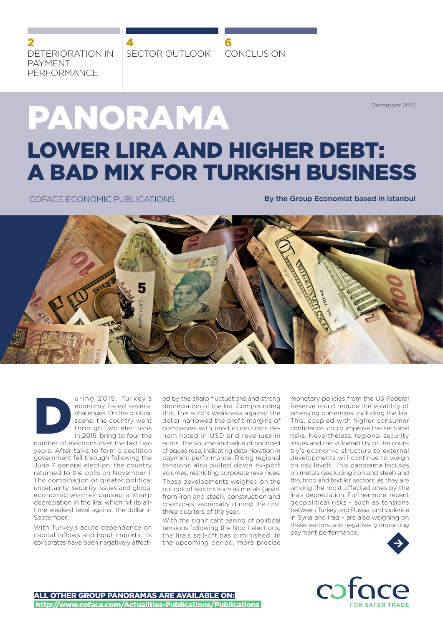DETERIORATION IN PAYMENT PERFORMANCE 2

SECTOR OUTLOOK 4

CONCLUSION 6

December 2015

# PANORAMA LOWER LIRA AND HIGHER DEBT: A BAD MIX FOR TURKISH BUSINESS

COFACE ECONOMIC PUBLICATIONS **By the Group Economist based in Istanbul** 



uring 2015, Turkey's economy faced several challenges. On the political scene, the country went through two elections in 2015, bring to four the uring 2015, Turkey's<br>
economy faced several<br>
challenges. On the political<br>
scene, the country went<br>
through two elections<br>
in 2015, bring to four the<br>
number of elections over the last two

years. After talks to form a coalition government fell through following the June 7 general election, the country returned to the polls on November 1. The combination of greater political uncertainty, security issues and global economic worries caused a sharp depreciation in the lira, which hit its alltime weakest level against the dollar in September.

With Turkey's acute dependence on capital inflows and input imports, its corporates have been negatively affected by the sharp fluctuations and strong depreciation of the lira. Compounding this, the euro's weakness against the dollar narrowed the profit margins of companies with production costs denominated in USD and revenues in euros. The volume and value of bounced cheques rose, indicating dete-rioration in payment performance. Rising regional tensions also pulled down ex-port volumes, restricting corporate reve-nues. These developments weighed on the outlook of sectors such as metals (apart from iron and steel), construction and chemicals, especially during the first three quarters of the year.

With the significant easing of political tensions following the Nov 1 elections, the lira's sell-off has diminished. In the upcoming period, more precise

monetary policies from the US Federal Reserve could reduce the volatility of emerging currencies, including the lira. This, coupled with higher consumer confidence, could improve the sectorial risks. Nevertheless, regional security issues and the vulnerability of the country's economic structure to external developments will continue to weigh on risk levels. This panorama focuses on metals (excluding iron and steel) and the, food and textiles sectors, as they are among the most affected ones by the lira's depreciation. Furthermore, recent geopolitical risks - such as tensions between Turkey and Russia, and violence in Syria and Iraq – are also weighing on these sectors and negative-ly impacting payment performance.



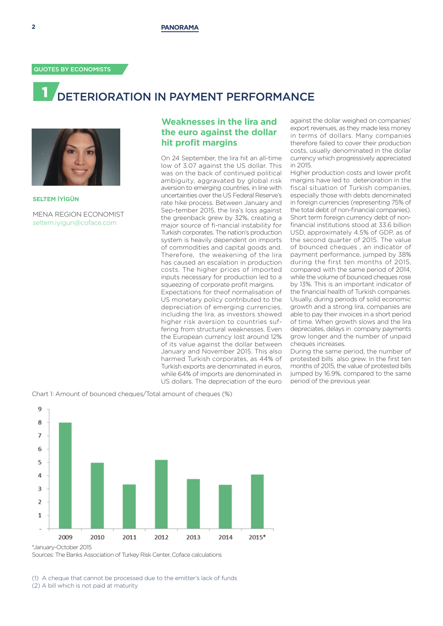# DETERIORATION IN PAYMENT PERFORMANCE



**SELTEM İYİGÜN**  MENA REGION ECONOMIST seltem.iyigun@coface.com

# **Weaknesses in the lira and the euro against the dollar hit profit margins**

On 24 September, the lira hit an all-time low of 3.07 against the US dollar. This was on the back of continued political ambiguity, aggravated by global risk aversion to emerging countries, in line with uncertainties over the US Federal Reserve's rate hike process. Between January and Sep-tember 2015, the lira's loss against the greenback grew by 32%, creating a major source of fi-nancial instability for Turkish corporates. The nation's production system is heavily dependent on imports of commodities and capital goods and. Therefore, the weakening of the lira has caused an escalation in production costs. The higher prices of imported inputs necessary for production led to a squeezing of corporate profit margins. Expectations for theof normalisation of US monetary policy contributed to the depreciation of emerging currencies, including the lira, as investors showed higher risk aversion to countries suffering from structural weaknesses. Even the European currency lost around 12% of its value against the dollar between January and November 2015. This also harmed Turkish corporates, as 44% of Turkish exports are denominated in euros, while 64% of imports are denominated in US dollars. The depreciation of the euro

against the dollar weighed on companies' export revenues, as they made less money in terms of dollars. Many companies therefore failed to cover their production costs, usually denominated in the dollar currency which progressively appreciated in 2015.

Higher production costs and lower profit margins have led to deterioration in the fiscal situation of Turkish companies, especially those with debts denominated in foreign currencies (representing 75% of the total debt of non-financial companies). Short term foreign currency debt of nonfinancial institutions stood at 33.6 billion USD, approximately 4.5% of GDP, as of the second quarter of 2015. The value of bounced cheques , an indicator of payment performance, jumped by 38% during the first ten months of 2015, compared with the same period of 2014, while the volume of bounced cheques rose by 13%. This is an important indicator of the financial health of Turkish companies. Usually, during periods of solid economic growth and a strong lira, companies are able to pay their invoices in a short period of time. When growth slows and the lira depreciates, delays in company payments grow longer and the number of unpaid cheques increases.

During the same period, the number of protested bills also grew. In the first ten months of 2015, the value of protested bills jumped by 16.9%, compared to the same period of the previous year.

Chart 1: Amount of bounced cheques/Total amount of cheques (%)



Sources: The Banks Association of Turkey Risk Center, Coface calculations

(1) A cheque that cannot be processed due to the emitter's lack of funds (2) A bill which is not paid at maturity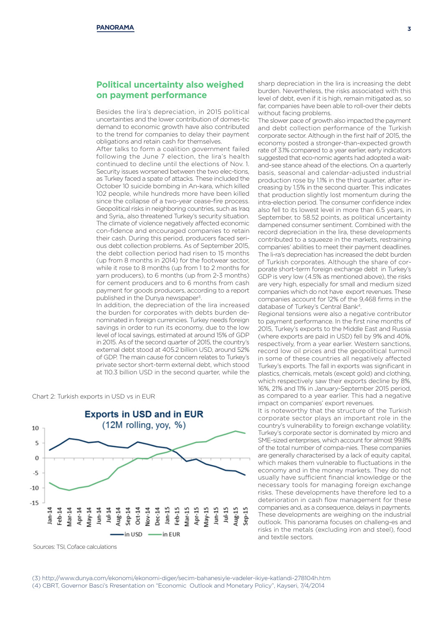## **Political uncertainty also weighed on payment performance**

Besides the lira's depreciation, in 2015 political uncertainties and the lower contribution of domes-tic demand to economic growth have also contributed to the trend for companies to delay their payment obligations and retain cash for themselves.

After talks to form a coalition government failed following the June 7 election, the lira's health continued to decline until the elections of Nov. 1. Security issues worsened between the two elec-tions, as Turkey faced a spate of attacks. These included the October 10 suicide bombing in An-kara, which killed 102 people, while hundreds more have been killed since the collapse of a two-year cease-fire process. Geopolitical risks in neighboring countries, such as Iraq and Syria,, also threatened Turkey's security situation. The climate of violence negatively affected economic con-fidence and encouraged companies to retain their cash. During this period, producers faced serious debt collection problems. As of September 2015, the debt collection period had risen to 15 months (up from 8 months in 2014) for the footwear sector, while it rose to 8 months (up from 1 to 2 months for yarn producers), to 6 months (up from 2-3 months) for cement producers and to 6 months from cash payment for goods producers, according to a report published in the Dunya newspaper<sup>3</sup>.

In addition, the depreciation of the lira increased the burden for corporates with debts burden denominated in foreign currencies. Turkey needs foreign savings in order to run its economy, due to the low level of local savings, estimated at around 15% of GDP in 2015. As of the second quarter of 2015, the country's external debt stood at 405.2 billion USD, around 52% of GDP. The main cause for concern relates to Turkey's private sector short-term external debt, which stood at 110.3 billion USD in the second quarter, while the





Sources: TSI, Coface calculations

sharp depreciation in the lira is increasing the debt burden. Nevertheless, the risks associated with this level of debt, even if it is high, remain mitigated as, so far, companies have been able to roll-over their debts without facing problems.

The slower pace of growth also impacted the payment and debt collection performance of the Turkish corporate sector. Although in the first half of 2015, the economy posted a stronger-than-expected growth rate of 3.1% compared to a year earlier, early indicators suggested that eco-nomic agents had adopted a waitand-see stance ahead of the elections. On a quarterly basis, seasonal and calendar-adjusted industrial production rose by 1.1% in the third quarter, after increasing by 1.5% in the second quarter. This indicates that production slightly lost momentum during the intra-election period. The consumer confidence index also fell to its lowest level in more than 6.5 years, in September, to 58.52 points, as political uncertainty dampened consumer sentiment. Combined with the record depreciation in the lira, these developments contributed to a squeeze in the markets, restraining companies' abilities to meet their payment deadlines. The li-ra's depreciation has increased the debt burden of Turkish corporates. Although the share of corporate short-term foreign exchange debt in Turkey's GDP is very low (4.5% as mentioned above), the risks are very high, especially for small and medium sized companies which do not have export revenues. These companies account for 12% of the 9,468 firms in the database of Turkey's Central Bank<sup>4</sup>

Regional tensions were also a negative contributor to payment performance. In the first nine months of 2015, Turkey's exports to the Middle East and Russia (where exports are paid in USD) fell by 9% and 40%, respectively, from a year earlier. Western sanctions, record low oil prices and the geopolitical turmoil in some of these countries all negatively affected Turkey's exports. The fall in exports was significant in plastics, chemicals, metals (except gold) and clothing, which respectively saw their exports decline by 8%, 16%, 21% and 11% in January-September 2015 period, as compared to a year earlier. This had a negative impact on companies' export revenues.

It is noteworthy that the structure of the Turkish corporate sector plays an important role in the country's vulnerability to foreign exchange volatility. Turkey's corporate sector is dominated by micro and SME-sized enterprises, which account for almost 99.8% of the total number of compa-nies. These companies are generally characterised by a lack of equity capital, which makes them vulnerable to fluctuations in the economy and in the money markets. They do not usually have sufficient financial knowledge or the necessary tools for managing foreign exchange risks. These developments have therefore led to a deterioration in cash flow management for these companies and, as a consequence, delays in payments. These developments are weighing on the industrial outlook. This panorama focuses on challeng-es and risks in the metals (excluding iron and steel), food and textile sectors.

(3) http://www.dunya.com/ekonomi/ekonomi-diger/secim-bahanesiyle-vadeler-ikiye-katlandi-278104h.htm (4) CBRT, Governor Basci's Rresentation on "Economic Outlook and Monetary Policy", Kayseri, 7/4/2014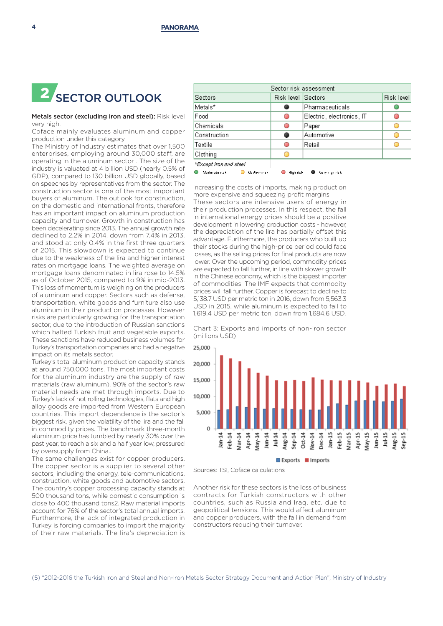

### Metals sector (excluding iron and steel): Risk level very high.

Coface mainly evaluates aluminum and copper production under this category.

The Ministry of Industry estimates that over 1,500 enterprises, employing around 30,000 staff, are operating in the aluminum sector . The size of the industry is valuated at 4 billion USD (nearly 0.5% of GDP), compared to 130 billion USD globally, based on speeches by representatives from the sector. The construction sector is one of the most important buyers of aluminum. The outlook for construction, on the domestic and international fronts, therefore has an important impact on aluminum production capacity and turnover. Growth in construction has been decelerating since 2013. The annual growth rate declined to 2.2% in 2014, down from 7.4% in 2013, and stood at only 0.4% in the first three quarters of 2015. This slowdown is expected to continue due to the weakness of the lira and higher interest rates on mortgage loans. The weighted average on mortgage loans denominated in lira rose to 14.5% as of October 2015, compared to 9% in mid-2013. This loss of momentum is weighing on the producers of aluminum and copper. Sectors such as defense, transportation, white goods and furniture also use aluminum in their production processes. However risks are particularly growing for the transportation sector, due to the introduction of Russian sanctions which halted Turkish fruit and vegetable exports. These sanctions have reduced business volumes for Turkey's transportation companies and had a negative impact on its metals sector.

Turkey's total aluminum production capacity stands at around 750,000 tons. The most important costs for the aluminum industry are the supply of raw materials (raw aluminum). 90% of the sector's raw material needs are met through imports. Due to Turkey's lack of hot rolling technologies, flats and high alloy goods are imported from Western European countries. This import dependence is the sector's biggest risk, given the volatility of the lira and the fall in commodity prices. The benchmark three-month aluminum price has tumbled by nearly 30% over the past year, to reach a six and a half year low, pressured by oversupply from China..

The same challenges exist for copper producers. The copper sector is a supplier to several other sectors, including the energy, tele-communications, construction, white goods and automotive sectors. The country's copper processing capacity stands at 500 thousand tons, while domestic consumption is close to 400 thousand tons2. Raw material imports account for 76% of the sector's total annual imports. Furthermore, the lack of integrated production in Turkey is forcing companies to import the majority of their raw materials. The lira's depreciation is

| Sector risk assessment                                       |                    |                           |            |
|--------------------------------------------------------------|--------------------|---------------------------|------------|
| Sectors                                                      | Risk level Sectors |                           | Risk level |
| Metals*                                                      |                    | Pharmaceuticals           |            |
| Food                                                         | O                  | Electric, electronics, IT |            |
| Chemicals                                                    | O                  | Paper                     |            |
| Construction                                                 | 0                  | Automotive                |            |
| Textile                                                      | O                  | Retail                    |            |
| Clothing                                                     |                    |                           |            |
| *Except iron and steel                                       |                    |                           |            |
| High rick<br>Moderate risk<br>Ma dium risk.<br>Voryhigh rick |                    |                           |            |

increasing the costs of imports, making production more expensive and squeezing profit margins.

These sectors are intensive users of energy in their production processes. In this respect, the fall in international energy prices should be a positive development in lowering production costs - however, the depreciation of the lira has partially offset this advantage. Furthermore, the producers who built up their stocks during the high-price period could face losses, as the selling prices for final products are now lower. Over the upcoming period, commodity prices are expected to fall further, in line with slower growth in the Chinese economy, which is the biggest importer of commodities. The IMF expects that commodity prices will fall further. Copper is forecast to decline to 5,138.7 USD per metric ton in 2016, down from 5,563.3 USD in 2015, while aluminum is expected to fall to 1,619.4 USD per metric ton, down from 1,684.6 USD.

Chart 3: Exports and imports of non-iron sector (millions USD)



Sources: TSI, Coface calculations

Another risk for these sectors is the loss of business contracts for Turkish constructors with other countries, such as Russia and Iraq, etc. due to geopolitical tensions. This would affect aluminum and copper producers, with the fall in demand from constructors reducing their turnover.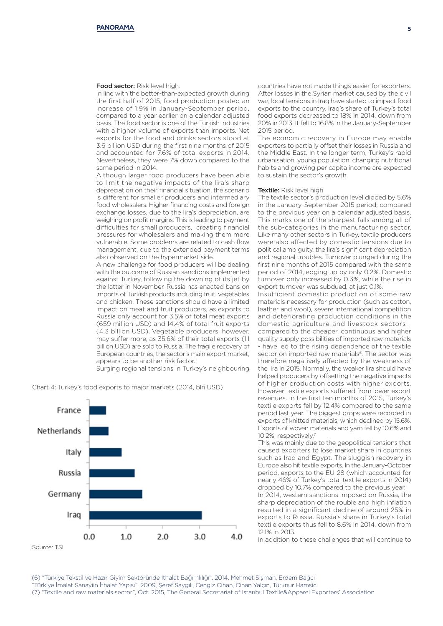#### Food sector: Risk level high.

In line with the better-than-expected growth during the first half of 2015, food production posted an increase of 1.9% in January-September period, compared to a year earlier on a calendar adjusted basis. The food sector is one of the Turkish industries with a higher volume of exports than imports. Net exports for the food and drinks sectors stood at 3.6 billion USD during the first nine months of 2015 and accounted for 7.6% of total exports in 2014. Nevertheless, they were 7% down compared to the same period in 2014.

Although larger food producers have been able to limit the negative impacts of the lira's sharp depreciation on their financial situation, the scenario is different for smaller producers and intermediary food wholesalers. Higher financing costs and foreign exchange losses, due to the lira's depreciation, are weighing on profit margins. This is leading to payment difficulties for small producers, creating financial pressures for wholesalers and making them more vulnerable. Some problems are related to cash flow management, due to the extended payment terms also observed on the hypermarket side.

A new challenge for food producers will be dealing with the outcome of Russian sanctions implemented against Turkey, following the downing of its jet by the latter in November. Russia has enacted bans on imports of Turkish products including fruit, vegetables and chicken. These sanctions should have a limited impact on meat and fruit producers, as exports to Russia only account for 3.5% of total meat exports (659 million USD) and 14.4% of total fruit exports (4.3 billion USD). Vegetable producers, however, may suffer more, as 35.6% of their total exports (1.1 billion USD) are sold to Russia. The fragile recovery of European countries, the sector's main export market, appears to be another risk factor.

Surging regional tensions in Turkey's neighbouring





countries have not made things easier for exporters. After losses in the Syrian market caused by the civil war, local tensions in Iraq have started to impact food exports to the country. Iraq's share of Turkey's total food exports decreased to 18% in 2014, down from 20% in 2013. It fell to 16.8% in the January-September 2015 period.

The economic recovery in Europe may enable exporters to partially offset their losses in Russia and the Middle East. In the longer term, Turkey's rapid urbanisation, young population, changing nutritional habits and growing per capita income are expected to sustain the sector's growth.

#### Textile: Risk level high

The textile sector's production level dipped by 5.6% in the January-September 2015 period; compared to the previous year on a calendar adjusted basis. This marks one of the sharpest falls among all of the sub-categories in the manufacturing sector. Like many other sectors in Turkey, textile producers were also affected by domestic tensions due to political ambiguity, the lira's significant depreciation and regional troubles. Turnover plunged during the first nine months of 2015 compared with the same period of 2014, edging up by only 0.2%. Domestic turnover only increased by 0.3%, while the rise in export turnover was subdued, at just 0.1%.

Insufficient domestic production of some raw materials necessary for production (such as cotton, leather and wool), severe international competition and deteriorating production conditions in the domestic agriculture and livestock sectors compared to the cheaper, continuous and higher quality supply possibilities of imported raw materials - have led to the rising dependence of the textile sector on imported raw materials<sup>6</sup>. The sector was therefore negatively affected by the weakness of the lira in 2015. Normally, the weaker lira should have helped producers by offsetting the negative impacts of higher production costs with higher exports. However textile exports suffered from lower export revenues. In the first ten months of 2015, Turkey's textile exports fell by 12.4% compared to the same period last year. The biggest drops were recorded in exports of knitted materials, which declined by 15.6%. Exports of woven materials and yarn fell by 10.6% and 10.2%, respectively.7

This was mainly due to the geopolitical tensions that caused exporters to lose market share in countries such as Iraq and Egypt. The sluggish recovery in Europe also hit textile exports. In the January-October period, exports to the EU-28 (which accounted for nearly 46% of Turkey's total textile exports in 2014) dropped by 10.7% compared to the previous year.

In 2014, western sanctions imposed on Russia, the sharp depreciation of the rouble and high inflation resulted in a significant decline of around 25% in exports to Russia. Russia's share in Turkey's total textile exports thus fell to 8.6% in 2014, down from 12.1% in 2013.

In addition to these challenges that will continue to

(6) "Türkiye Tekstil ve Hazır Giyim Sektöründe İthalat Bağımlılığı", 2014, Mehmet Şişman, Erdem Bağcı "Türkiye İmalat Sanayiin İthalat Yapısı", 2009, Şeref Saygılı, Cengiz Cihan, Cihan Yalçın, Türknur Hamsici (7) "Textile and raw materials sector", Oct. 2015, The General Secretariat of Istanbul Textile&Apparel Exporters' Association